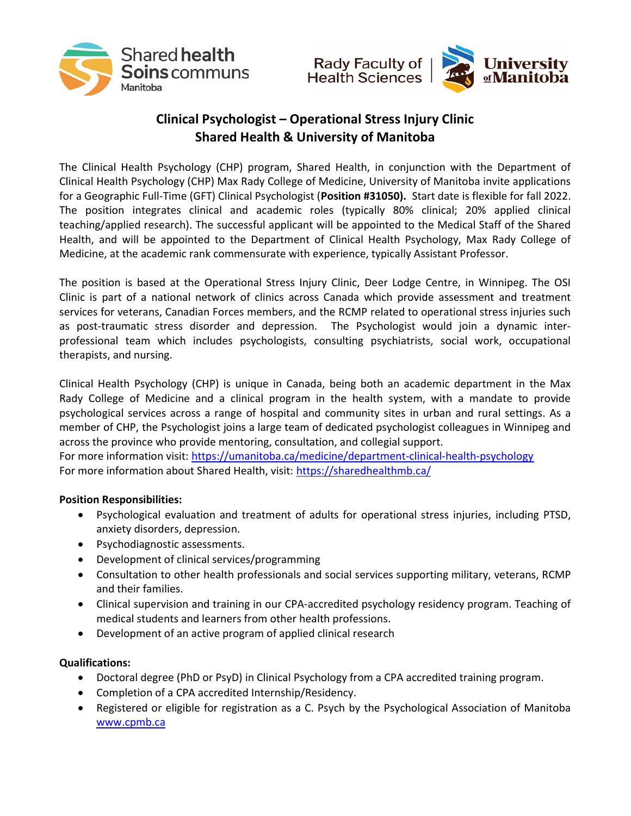



## Clinical Psychologist – Operational Stress Injury Clinic Shared Health & University of Manitoba

The Clinical Health Psychology (CHP) program, Shared Health, in conjunction with the Department of Clinical Health Psychology (CHP) Max Rady College of Medicine, University of Manitoba invite applications for a Geographic Full-Time (GFT) Clinical Psychologist (Position #31050). Start date is flexible for fall 2022. The position integrates clinical and academic roles (typically 80% clinical; 20% applied clinical teaching/applied research). The successful applicant will be appointed to the Medical Staff of the Shared Health, and will be appointed to the Department of Clinical Health Psychology, Max Rady College of Medicine, at the academic rank commensurate with experience, typically Assistant Professor.

The position is based at the Operational Stress Injury Clinic, Deer Lodge Centre, in Winnipeg. The OSI Clinic is part of a national network of clinics across Canada which provide assessment and treatment services for veterans, Canadian Forces members, and the RCMP related to operational stress injuries such as post-traumatic stress disorder and depression. The Psychologist would join a dynamic interprofessional team which includes psychologists, consulting psychiatrists, social work, occupational therapists, and nursing.

Clinical Health Psychology (CHP) is unique in Canada, being both an academic department in the Max Rady College of Medicine and a clinical program in the health system, with a mandate to provide psychological services across a range of hospital and community sites in urban and rural settings. As a member of CHP, the Psychologist joins a large team of dedicated psychologist colleagues in Winnipeg and across the province who provide mentoring, consultation, and collegial support.

For more information visit: https://umanitoba.ca/medicine/department-clinical-health-psychology For more information about Shared Health, visit: https://sharedhealthmb.ca/

## Position Responsibilities:

- Psychological evaluation and treatment of adults for operational stress injuries, including PTSD, anxiety disorders, depression.
- Psychodiagnostic assessments.
- Development of clinical services/programming
- Consultation to other health professionals and social services supporting military, veterans, RCMP and their families.
- Clinical supervision and training in our CPA-accredited psychology residency program. Teaching of medical students and learners from other health professions.
- Development of an active program of applied clinical research

## Qualifications:

- Doctoral degree (PhD or PsyD) in Clinical Psychology from a CPA accredited training program.
- Completion of a CPA accredited Internship/Residency.
- Registered or eligible for registration as a C. Psych by the Psychological Association of Manitoba www.cpmb.ca